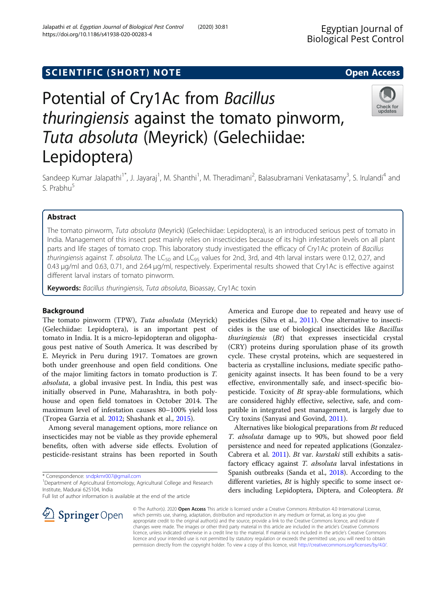## SCIENTIFIC (SHORT) NOTE And the open Access open Access

# Potential of Cry1Ac from Bacillus thuringiensis against the tomato pinworm, Tuta absoluta (Meyrick) (Gelechiidae: Lepidoptera)

Sandeep Kumar Jalapathi<sup>1\*</sup>, J. Jayaraj<sup>1</sup>, M. Shanthi<sup>1</sup>, M. Theradimani<sup>2</sup>, Balasubramani Venkatasamy<sup>3</sup>, S. Irulandi<sup>4</sup> and S. Prabhu<sup>5</sup>

## Abstract

The tomato pinworm, Tuta absoluta (Meyrick) (Gelechiidae: Lepidoptera), is an introduced serious pest of tomato in India. Management of this insect pest mainly relies on insecticides because of its high infestation levels on all plant parts and life stages of tomato crop. This laboratory study investigated the efficacy of Cry1Ac protein of Bacillus thuringiensis against T. absoluta. The LC<sub>50</sub> and LC<sub>95</sub> values for 2nd, 3rd, and 4th larval instars were 0.12, 0.27, and 0.43 μg/ml and 0.63, 0.71, and 2.64 μg/ml, respectively. Experimental results showed that Cry1Ac is effective against different larval instars of tomato pinworm.

Keywords: Bacillus thuringiensis, Tuta absoluta, Bioassay, Cry1Ac toxin

## Background

The tomato pinworm (TPW), Tuta absoluta (Meyrick) (Gelechiidae: Lepidoptera), is an important pest of tomato in India. It is a micro-lepidopteran and oligophagous pest native of South America. It was described by E. Meyrick in Peru during 1917. Tomatoes are grown both under greenhouse and open field conditions. One of the major limiting factors in tomato production is T. absoluta, a global invasive pest. In India, this pest was initially observed in Pune, Maharashtra, in both polyhouse and open field tomatoes in October 2014. The maximum level of infestation causes 80–100% yield loss (Tropea Garzia et al. [2012;](#page-3-0) Shashank et al., [2015\)](#page-3-0).

Among several management options, more reliance on insecticides may not be viable as they provide ephemeral benefits, often with adverse side effects. Evolution of pesticide-resistant strains has been reported in South

\* Correspondence: [sndpkmr007@gmail.com](mailto:sndpkmr007@gmail.com) <sup>1</sup>

<sup>1</sup> Department of Agricultural Entomology, Agricultural College and Research Institute, Madurai 625104, India

Full list of author information is available at the end of the article

America and Europe due to repeated and heavy use of pesticides (Silva et al., [2011\)](#page-3-0). One alternative to insecticides is the use of biological insecticides like Bacillus  $thuringiensis$   $(Bt)$  that expresses insecticidal crystal (CRY) proteins during sporulation phase of its growth cycle. These crystal proteins, which are sequestered in bacteria as crystalline inclusions, mediate specific pathogenicity against insects. It has been found to be a very effective, environmentally safe, and insect-specific biopesticide. Toxicity of Bt spray-able formulations, which are considered highly effective, selective, safe, and compatible in integrated pest management, is largely due to Cry toxins (Sanyasi and Govind, [2011\)](#page-3-0).

Alternatives like biological preparations from Bt reduced T. absoluta damage up to 90%, but showed poor field persistence and need for repeated applications (Gonzalez-Cabrera et al. [2011\)](#page-3-0). Bt var. kurstaki still exhibits a satisfactory efficacy against T. absoluta larval infestations in Spanish outbreaks (Sanda et al., [2018](#page-3-0)). According to the different varieties, *Bt* is highly specific to some insect orders including Lepidoptera, Diptera, and Coleoptera. Bt

© The Author(s). 2020 Open Access This article is licensed under a Creative Commons Attribution 4.0 International License, which permits use, sharing, adaptation, distribution and reproduction in any medium or format, as long as you give appropriate credit to the original author(s) and the source, provide a link to the Creative Commons licence, and indicate if changes were made. The images or other third party material in this article are included in the article's Creative Commons licence, unless indicated otherwise in a credit line to the material. If material is not included in the article's Creative Commons licence and your intended use is not permitted by statutory regulation or exceeds the permitted use, you will need to obtain permission directly from the copyright holder. To view a copy of this licence, visit <http://creativecommons.org/licenses/by/4.0/>.



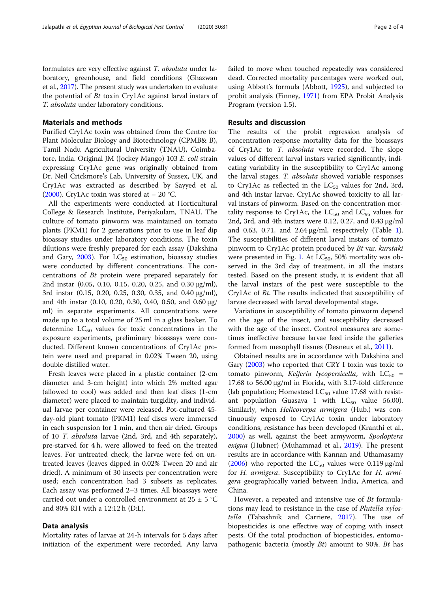formulates are very effective against T. absoluta under laboratory, greenhouse, and field conditions (Ghazwan et al., [2017](#page-3-0)). The present study was undertaken to evaluate the potential of Bt toxin Cry1Ac against larval instars of T. absoluta under laboratory conditions.

## Materials and methods

Purified Cry1Ac toxin was obtained from the Centre for Plant Molecular Biology and Biotechnology (CPMB& B), Tamil Nadu Agricultural University (TNAU), Coimbatore, India. Original JM (Jockey Mango) 103 E. coli strain expressing Cry1Ac gene was originally obtained from Dr. Neil Crickmore's Lab, University of Sussex, UK, and Cry1Ac was extracted as described by Sayyed et al. ([2000](#page-3-0)). Cry1Ac toxin was stored at  $-$  20 °C.

All the experiments were conducted at Horticultural College & Research Institute, Periyakulam, TNAU. The culture of tomato pinworm was maintained on tomato plants (PKM1) for 2 generations prior to use in leaf dip bioassay studies under laboratory conditions. The toxin dilutions were freshly prepared for each assay (Dakshina and Gary,  $2003$ ). For  $LC_{50}$  estimation, bioassay studies were conducted by different concentrations. The concentrations of Bt protein were prepared separately for 2nd instar (0.05, 0.10, 0.15, 0.20, 0.25, and 0.30 μg/ml), 3rd instar (0.15, 0.20, 0.25, 0.30, 0.35, and 0.40 μg/ml), and 4th instar (0.10, 0.20, 0.30, 0.40, 0.50, and 0.60 μg/ ml) in separate experiments. All concentrations were made up to a total volume of 25 ml in a glass beaker. To determine  $LC_{50}$  values for toxic concentrations in the exposure experiments, preliminary bioassays were conducted. Different known concentrations of Cry1Ac protein were used and prepared in 0.02% Tween 20, using double distilled water.

Fresh leaves were placed in a plastic container (2-cm diameter and 3-cm height) into which 2% melted agar (allowed to cool) was added and then leaf discs (1-cm diameter) were placed to maintain turgidity, and individual larvae per container were released. Pot-cultured 45 day-old plant tomato (PKM1) leaf discs were immersed in each suspension for 1 min, and then air dried. Groups of 10 T. absoluta larvae (2nd, 3rd, and 4th separately), pre-starved for 4 h, were allowed to feed on the treated leaves. For untreated check, the larvae were fed on untreated leaves (leaves dipped in 0.02% Tween 20 and air dried). A minimum of 30 insects per concentration were used; each concentration had 3 subsets as replicates. Each assay was performed 2–3 times. All bioassays were carried out under a controlled environment at  $25 \pm 5$  °C and 80% RH with a 12:12 h (D:L).

#### Data analysis

Mortality rates of larvae at 24-h intervals for 5 days after initiation of the experiment were recorded. Any larva

failed to move when touched repeatedly was considered dead. Corrected mortality percentages were worked out, using Abbott's formula (Abbott, [1925\)](#page-3-0), and subjected to probit analysis (Finney, [1971](#page-3-0)) from EPA Probit Analysis Program (version 1.5).

## Results and discussion

The results of the probit regression analysis of concentration-response mortality data for the bioassays of Cry1Ac to T. absoluta were recorded. The slope values of different larval instars varied significantly, indicating variability in the susceptibility to Cry1Ac among the larval stages. T. *absoluta* showed variable responses to Cry1Ac as reflected in the  $LC_{50}$  values for 2nd, 3rd, and 4th instar larvae. Cry1Ac showed toxicity to all larval instars of pinworm. Based on the concentration mortality response to Cry1Ac, the  $LC_{50}$  and  $LC_{95}$  values for 2nd, 3rd, and 4th instars were 0.12, 0.27, and 0.43 μg/ml and 0.63, 0.7[1](#page-2-0), and  $2.64 \mu g/ml$ , respectively (Table 1). The susceptibilities of different larval instars of tomato pinworm to Cry1Ac protein produced by Bt var. kurstaki were presented in Fig. [1](#page-2-0). At  $LC_{50}$ , 50% mortality was observed in the 3rd day of treatment, in all the instars tested. Based on the present study, it is evident that all the larval instars of the pest were susceptible to the Cry1Ac of Bt. The results indicated that susceptibility of larvae decreased with larval developmental stage.

Variations in susceptibility of tomato pinworm depend on the age of the insect, and susceptibility decreased with the age of the insect. Control measures are sometimes ineffective because larvae feed inside the galleries formed from mesophyll tissues (Desneux et al., [2011\)](#page-3-0).

Obtained results are in accordance with Dakshina and Gary ([2003\)](#page-3-0) who reported that CRY I toxin was toxic to tomato pinworm, Keiferia lycopersicella, with  $LC_{50}$  = 17.68 to 56.00 μg/ml in Florida, with 3.17-fold difference (lab population; Homestead  $LC_{50}$  value 17.68 with resistant population Guasava 1 with  $LC_{50}$  value 56.00). Similarly, when Helicoverpa armigera (Hub.) was continuously exposed to Cry1Ac toxin under laboratory conditions, resistance has been developed (Kranthi et al., [2000](#page-3-0)) as well, against the beet armyworm, Spodoptera exigua (Hubner) (Muhammad et al., [2019](#page-3-0)). The present results are in accordance with Kannan and Uthamasamy ([2006\)](#page-3-0) who reported the  $LC_{50}$  values were 0.119  $\mu$ g/ml for H. armigera. Susceptibility to Cry1Ac for H. armigera geographically varied between India, America, and China.

However, a repeated and intensive use of Bt formulations may lead to resistance in the case of Plutella xylostella (Tabashnik and Carriere, [2017](#page-3-0)). The use of biopesticides is one effective way of coping with insect pests. Of the total production of biopesticides, entomopathogenic bacteria (mostly  $Bt$ ) amount to 90%. Bt has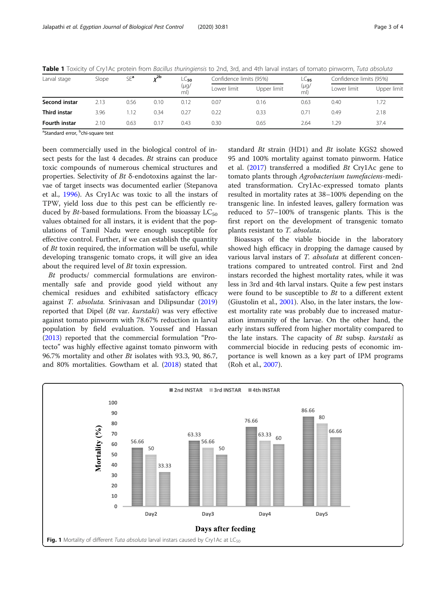| Larval stage        | Slope | $SE^a$ | $v^{2b}$ | LC <sub>50</sub><br>(µg/<br>ml) | Confidence limits (95%) |             | $LC_{95}$   | Confidence limits (95%) |             |
|---------------------|-------|--------|----------|---------------------------------|-------------------------|-------------|-------------|-------------------------|-------------|
|                     |       |        |          |                                 | Lower limit             | Upper limit | (µg/<br>ml) | Lower limit             | Upper limit |
| Second instar       | 2.13  | 0.56   | 0.10     | 0.12                            | 0.07                    | 0.16        | 0.63        | 0.40                    | 1.72        |
| <b>Third instar</b> | 3.96  | 1.12   | 0.34     | 0.27                            | 0.22                    | 0.33        | 0.71        | 0.49                    | 2.18        |
| Fourth instar       | 2.10  | 0.63   | 0.17     | 0.43                            | 0.30                    | 0.65        | 2.64        | .29                     | 37.4        |

<span id="page-2-0"></span>Table 1 Toxicity of Cry1Ac protein from Bacillus thuringiensis to 2nd, 3rd, and 4th larval instars of tomato pinworm, Tuta absoluta

<sup>a</sup>Standard error, <sup>b</sup>chi-square test

been commercially used in the biological control of insect pests for the last 4 decades. Bt strains can produce toxic compounds of numerous chemical structures and properties. Selectivity of  $Bt$  δ-endotoxins against the larvae of target insects was documented earlier (Stepanova et al., [1996\)](#page-3-0). As Cry1Ac was toxic to all the instars of TPW, yield loss due to this pest can be efficiently reduced by *Bt*-based formulations. From the bioassay  $LC_{50}$ values obtained for all instars, it is evident that the populations of Tamil Nadu were enough susceptible for effective control. Further, if we can establish the quantity of Bt toxin required, the information will be useful, while developing transgenic tomato crops, it will give an idea about the required level of Bt toxin expression.

Bt products/ commercial formulations are environmentally safe and provide good yield without any chemical residues and exhibited satisfactory efficacy against T. absoluta. Srinivasan and Dilipsundar ([2019](#page-3-0)) reported that Dipel (Bt var. kurstaki) was very effective against tomato pinworm with 78.67% reduction in larval population by field evaluation. Youssef and Hassan ([2013](#page-3-0)) reported that the commercial formulation "Protecto" was highly effective against tomato pinworm with 96.7% mortality and other Bt isolates with 93.3, 90, 86.7, and 80% mortalities. Gowtham et al. [\(2018\)](#page-3-0) stated that standard Bt strain (HD1) and Bt isolate KGS2 showed 95 and 100% mortality against tomato pinworm. Hatice et al. [\(2017\)](#page-3-0) transferred a modified Bt Cry1Ac gene to tomato plants through Agrobacterium tumefaciens-mediated transformation. Cry1Ac-expressed tomato plants resulted in mortality rates at 38–100% depending on the transgenic line. In infested leaves, gallery formation was reduced to 57–100% of transgenic plants. This is the first report on the development of transgenic tomato plants resistant to T. absoluta.

Bioassays of the viable biocide in the laboratory showed high efficacy in dropping the damage caused by various larval instars of T. absoluta at different concentrations compared to untreated control. First and 2nd instars recorded the highest mortality rates, while it was less in 3rd and 4th larval instars. Quite a few pest instars were found to be susceptible to Bt to a different extent (Giustolin et al., [2001\)](#page-3-0). Also, in the later instars, the lowest mortality rate was probably due to increased maturation immunity of the larvae. On the other hand, the early instars suffered from higher mortality compared to the late instars. The capacity of  $Bt$  subsp. *kurstaki* as commercial biocide in reducing pests of economic importance is well known as a key part of IPM programs (Roh et al., [2007\)](#page-3-0).